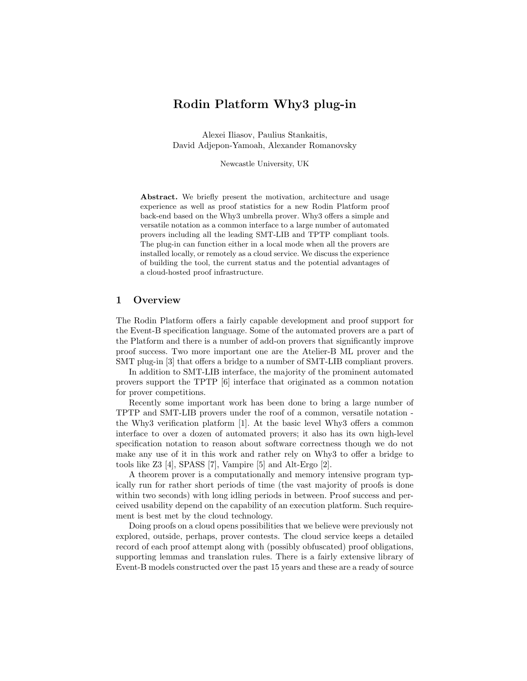# Rodin Platform Why3 plug-in

Alexei Iliasov, Paulius Stankaitis, David Adjepon-Yamoah, Alexander Romanovsky

Newcastle University, UK

Abstract. We briefly present the motivation, architecture and usage experience as well as proof statistics for a new Rodin Platform proof back-end based on the Why3 umbrella prover. Why3 offers a simple and versatile notation as a common interface to a large number of automated provers including all the leading SMT-LIB and TPTP compliant tools. The plug-in can function either in a local mode when all the provers are installed locally, or remotely as a cloud service. We discuss the experience of building the tool, the current status and the potential advantages of a cloud-hosted proof infrastructure.

## 1 Overview

The Rodin Platform offers a fairly capable development and proof support for the Event-B specification language. Some of the automated provers are a part of the Platform and there is a number of add-on provers that significantly improve proof success. Two more important one are the Atelier-B ML prover and the SMT plug-in [3] that offers a bridge to a number of SMT-LIB compliant provers.

In addition to SMT-LIB interface, the majority of the prominent automated provers support the TPTP [6] interface that originated as a common notation for prover competitions.

Recently some important work has been done to bring a large number of TPTP and SMT-LIB provers under the roof of a common, versatile notation the Why3 verification platform [1]. At the basic level Why3 offers a common interface to over a dozen of automated provers; it also has its own high-level specification notation to reason about software correctness though we do not make any use of it in this work and rather rely on Why3 to offer a bridge to tools like Z3 [4], SPASS [7], Vampire [5] and Alt-Ergo [2].

A theorem prover is a computationally and memory intensive program typically run for rather short periods of time (the vast majority of proofs is done within two seconds) with long idling periods in between. Proof success and perceived usability depend on the capability of an execution platform. Such requirement is best met by the cloud technology.

Doing proofs on a cloud opens possibilities that we believe were previously not explored, outside, perhaps, prover contests. The cloud service keeps a detailed record of each proof attempt along with (possibly obfuscated) proof obligations, supporting lemmas and translation rules. There is a fairly extensive library of Event-B models constructed over the past 15 years and these are a ready of source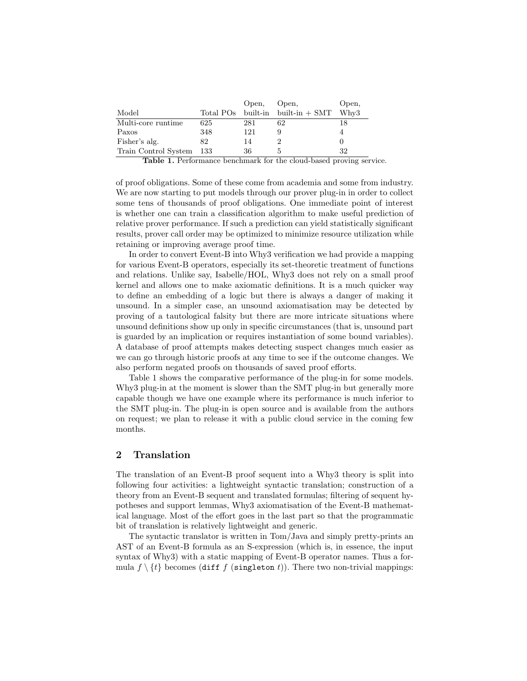| Total $POs$ built-in built-in $+ SMT$<br>Whv3<br>Model<br>Multi-core runtime<br>625<br>281<br>62<br>18<br>348<br>121<br>Paxos<br>14 |               |    | Open, | Open, | Open. |
|-------------------------------------------------------------------------------------------------------------------------------------|---------------|----|-------|-------|-------|
|                                                                                                                                     |               |    |       |       |       |
|                                                                                                                                     |               |    |       |       |       |
|                                                                                                                                     |               |    |       |       |       |
|                                                                                                                                     | Fisher's alg. | 82 |       |       |       |
| Train Control System<br>36<br>32<br>- 133                                                                                           |               |    |       |       |       |

Table 1. Performance benchmark for the cloud-based proving service.

of proof obligations. Some of these come from academia and some from industry. We are now starting to put models through our prover plug-in in order to collect some tens of thousands of proof obligations. One immediate point of interest is whether one can train a classification algorithm to make useful prediction of relative prover performance. If such a prediction can yield statistically significant results, prover call order may be optimized to minimize resource utilization while retaining or improving average proof time.

In order to convert Event-B into Why3 verification we had provide a mapping for various Event-B operators, especially its set-theoretic treatment of functions and relations. Unlike say, Isabelle/HOL, Why3 does not rely on a small proof kernel and allows one to make axiomatic definitions. It is a much quicker way to define an embedding of a logic but there is always a danger of making it unsound. In a simpler case, an unsound axiomatisation may be detected by proving of a tautological falsity but there are more intricate situations where unsound definitions show up only in specific circumstances (that is, unsound part is guarded by an implication or requires instantiation of some bound variables). A database of proof attempts makes detecting suspect changes much easier as we can go through historic proofs at any time to see if the outcome changes. We also perform negated proofs on thousands of saved proof efforts.

Table 1 shows the comparative performance of the plug-in for some models. Why3 plug-in at the moment is slower than the SMT plug-in but generally more capable though we have one example where its performance is much inferior to the SMT plug-in. The plug-in is open source and is available from the authors on request; we plan to release it with a public cloud service in the coming few months.

## 2 Translation

The translation of an Event-B proof sequent into a Why3 theory is split into following four activities: a lightweight syntactic translation; construction of a theory from an Event-B sequent and translated formulas; filtering of sequent hypotheses and support lemmas, Why3 axiomatisation of the Event-B mathematical language. Most of the effort goes in the last part so that the programmatic bit of translation is relatively lightweight and generic.

The syntactic translator is written in Tom/Java and simply pretty-prints an AST of an Event-B formula as an S-expression (which is, in essence, the input syntax of Why3) with a static mapping of Event-B operator names. Thus a formula  $f \setminus \{t\}$  becomes (diff f (singleton t)). There two non-trivial mappings: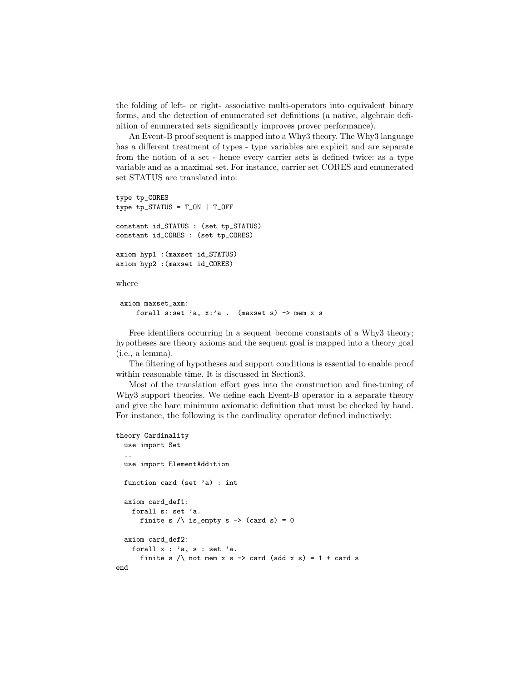the folding of left- or right- associative multi-operators into equivalent binary forms, and the detection of enumerated set definitions (a native, algebraic definition of enumerated sets significantly improves prover performance).

An Event-B proof sequent is mapped into a Why3 theory. The Why3 language has a different treatment of types - type variables are explicit and are separate from the notion of a set - hence every carrier sets is defined twice: as a type variable and as a maximal set. For instance, carrier set CORES and enumerated set STATUS are translated into:

```
type tp_CORES
type tp_STATUS = T_ON | T_OFF
constant id_STATUS : (set tp_STATUS)
constant id_CORES : (set tp_CORES)
axiom hyp1 :(maxset id_STATUS)
axiom hyp2 :(maxset id_CORES)
```
where

```
axiom maxset_axm:
    forall s:set 'a, x:'a. (maxset s) \rightarrow mem x s
```
Free identifiers occurring in a sequent become constants of a Why3 theory; hypotheses are theory axioms and the sequent goal is mapped into a theory goal (i.e., a lemma).

The filtering of hypotheses and support conditions is essential to enable proof within reasonable time. It is discussed in Section3.

Most of the translation effort goes into the construction and fine-tuning of Why3 support theories. We define each Event-B operator in a separate theory and give the bare minimum axiomatic definition that must be checked by hand. For instance, the following is the cardinality operator defined inductively:

```
theory Cardinality
```

```
use import Set
  ..
 use import ElementAddition
 function card (set 'a) : int
  axiom card_def1:
    forall s: set 'a.
      finite s \wedge is_empty s -> (card s) = 0
  axiom card_def2:
    forall x : 'a, s : set 'a.
      finite s \wedge not mem x s -> card (add x s) = 1 + card s
end
```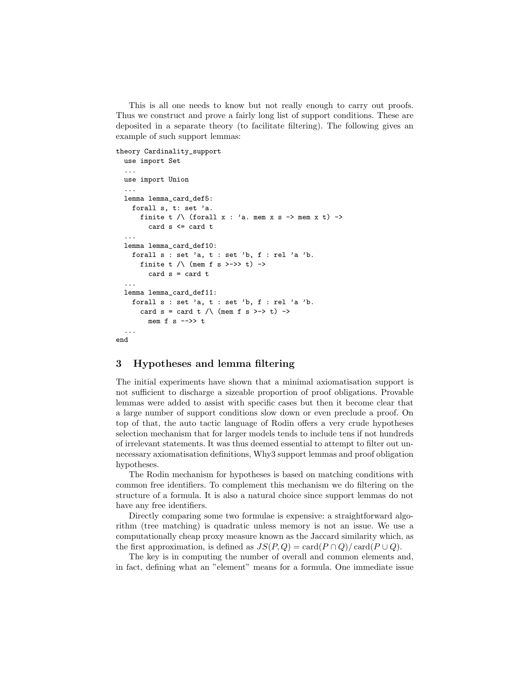This is all one needs to know but not really enough to carry out proofs. Thus we construct and prove a fairly long list of support conditions. These are deposited in a separate theory (to facilitate filtering). The following gives an example of such support lemmas:

```
theory Cardinality_support
```

```
use import Set
  ...
 use import Union
  ...
 lemma lemma_card_def5:
    forall s, t: set 'a.
      finite t \wedge (forall x : 'a. mem x s -> mem x t) ->
        card s \leq card t
  ...
 lemma lemma_card_def10:
    forall s : set 'a, t : set 'b, f : rel 'a 'b.
      finite t /\rangle (mem f s >->> t) ->
        card s = card t...
 lemma lemma_card_def11:
    forall s : set 'a, t : set 'b, f : rel 'a 'b.
      card s = card t / (mem f s >-> t) ->
        mem f s \rightarrow t
  ...
end
```
## 3 Hypotheses and lemma filtering

The initial experiments have shown that a minimal axiomatisation support is not sufficient to discharge a sizeable proportion of proof obligations. Provable lemmas were added to assist with specific cases but then it become clear that a large number of support conditions slow down or even preclude a proof. On top of that, the auto tactic language of Rodin offers a very crude hypotheses selection mechanism that for larger models tends to include tens if not hundreds of irrelevant statements. It was thus deemed essential to attempt to filter out unnecessary axiomatisation definitions, Why3 support lemmas and proof obligation hypotheses.

The Rodin mechanism for hypotheses is based on matching conditions with common free identifiers. To complement this mechanism we do filtering on the structure of a formula. It is also a natural choice since support lemmas do not have any free identifiers.

Directly comparing some two formulae is expensive: a straightforward algorithm (tree matching) is quadratic unless memory is not an issue. We use a computationally cheap proxy measure known as the Jaccard similarity which, as the first approximation, is defined as  $JS(P,Q) = \text{card}(P \cap Q)/\text{card}(P \cup Q)$ .

The key is in computing the number of overall and common elements and, in fact, defining what an "element" means for a formula. One immediate issue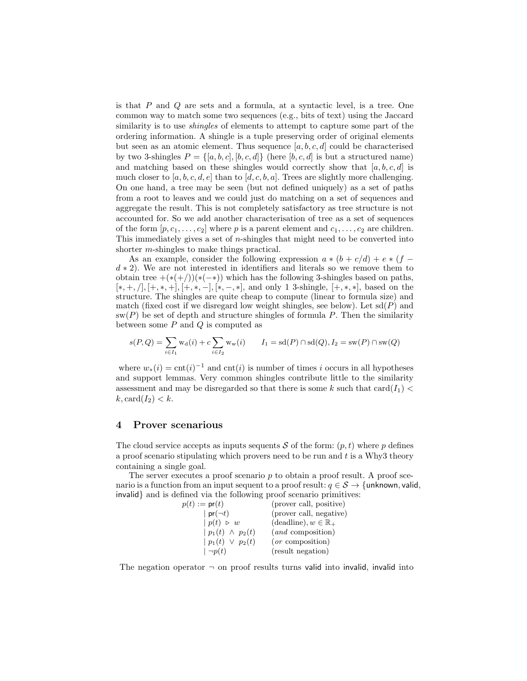is that P and Q are sets and a formula, at a syntactic level, is a tree. One common way to match some two sequences (e.g., bits of text) using the Jaccard similarity is to use *shingles* of elements to attempt to capture some part of the ordering information. A shingle is a tuple preserving order of original elements but seen as an atomic element. Thus sequence  $[a, b, c, d]$  could be characterised by two 3-shingles  $P = \{[a, b, c], [b, c, d]\}$  (here  $[b, c, d]$  is but a structured name) and matching based on these shingles would correctly show that  $[a, b, c, d]$  is much closer to [a, b, c, d, e] than to [d, c, b, a]. Trees are slightly more challenging. On one hand, a tree may be seen (but not defined uniquely) as a set of paths from a root to leaves and we could just do matching on a set of sequences and aggregate the result. This is not completely satisfactory as tree structure is not accounted for. So we add another characterisation of tree as a set of sequences of the form  $[p, c_1, \ldots, c_2]$  where p is a parent element and  $c_1, \ldots, c_2$  are children. This immediately gives a set of  $n$ -shingles that might need to be converted into shorter *m*-shingles to make things practical.

As an example, consider the following expression  $a * (b + c/d) + e * (f - c/d)$  $d * 2$ ). We are not interested in identifiers and literals so we remove them to obtain tree  $+(*(+/))(*(-*))$  which has the following 3-shingles based on paths,  $[*, +, /], [+, *, +], [+, *, -], [*, -, *],$  and only 1 3-shingle,  $[+, *, *],$  based on the structure. The shingles are quite cheap to compute (linear to formula size) and match (fixed cost if we disregard low weight shingles, see below). Let  $\text{sd}(P)$  and  $\text{sw}(P)$  be set of depth and structure shingles of formula P. Then the similarity between some  $P$  and  $Q$  is computed as

$$
s(P,Q) = \sum_{i \in I_1} w_d(i) + c \sum_{i \in I_2} w_w(i) \qquad I_1 = sd(P) \cap sd(Q), I_2 = sw(P) \cap sw(Q)
$$

where  $w_*(i) = \text{cnt}(i)^{-1}$  and  $\text{cnt}(i)$  is number of times i occurs in all hypotheses and support lemmas. Very common shingles contribute little to the similarity assessment and may be disregarded so that there is some k such that  $\text{card}(I_1)$  <  $k$ , card $(I_2) < k$ .

### 4 Prover scenarious

The cloud service accepts as inputs sequents S of the form:  $(p, t)$  where p defines a proof scenario stipulating which provers need to be run and  $t$  is a Why3 theory containing a single goal.

The server executes a proof scenario  $p$  to obtain a proof result. A proof scenario is a function from an input sequent to a proof result:  $q \in S \rightarrow \{$ unknown, valid, invalid} and is defined via the following proof scenario primitives:

| $p(t) := pr(t)$                    | (prover call, positive)          |
|------------------------------------|----------------------------------|
| $ pr(-t) $                         | (prover call, negative)          |
| $ p(t) \rangle$ $\triangleright$ w | $(deadline), w \in \mathbb{R}_+$ |
| $ p_1(t) \wedge p_2(t) $           | $(and \; composition)$           |
| $ p_1(t) \vee p_2(t) $             | (or composition)                 |
| $ \neg p(t) $                      | (result negation)                |

The negation operator  $\neg$  on proof results turns valid into invalid, invalid into